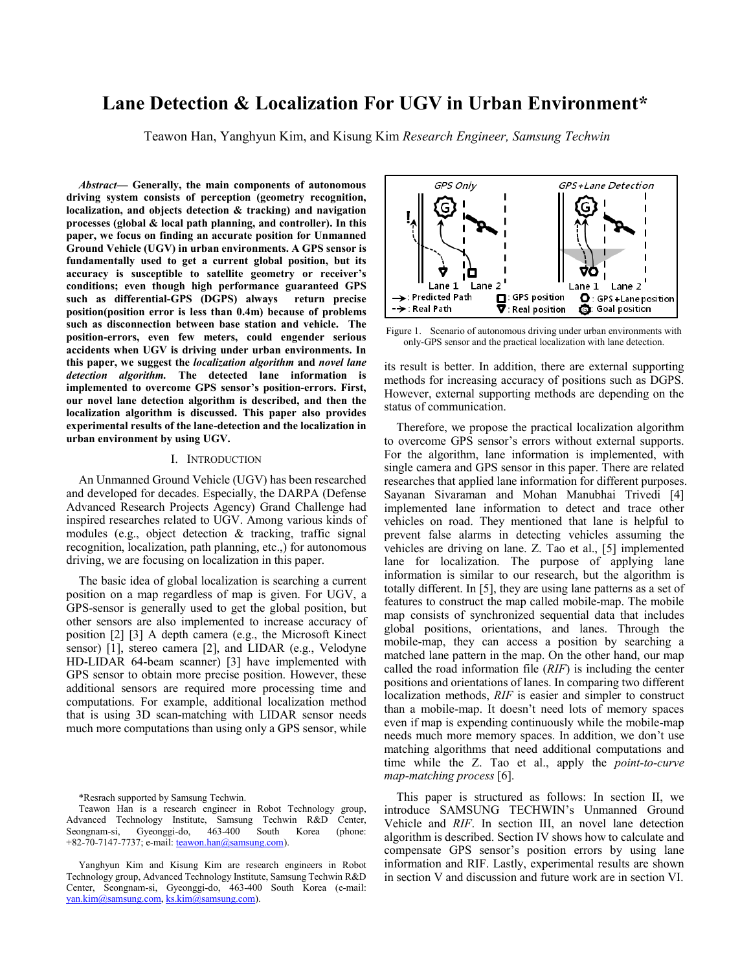# Lane Detection & Localization For UGV in Urban Environment\*

Teawon Han, Yanghyun Kim, and Kisung Kim Research Engineer, Samsung Techwin

*Abstract*— Generally, the main components of autonomous driving system consists of perception (geometry recognition, localization, and objects detection & tracking) and navigation processes (global & local path planning, and controller). In this paper, we focus on finding an accurate position for Unmanned Ground Vehicle (UGV) in urban environments. A GPS sensor is fundamentally used to get a current global position, but its accuracy is susceptible to satellite geometry or receiver's conditions; even though high performance guaranteed GPS such as differential-GPS (DGPS) always return precise position(position error is less than 0.4m) because of problems such as disconnection between base station and vehicle. The position-errors, even few meters, could engender serious accidents when UGV is driving under urban environments. In this paper, we suggest the *localization algorithm* and *novel lane* detection algorithm. The detected lane information is implemented to overcome GPS sensor's position-errors. First, our novel lane detection algorithm is described, and then the localization algorithm is discussed. This paper also provides experimental results of the lane-detection and the localization in urban environment by using UGV.

# I. INTRODUCTION

An Unmanned Ground Vehicle (UGV) has been researched and developed for decades. Especially, the DARPA (Defense Advanced Research Projects Agency) Grand Challenge had inspired researches related to UGV. Among various kinds of modules (e.g., object detection & tracking, traffic signal recognition, localization, path planning, etc., for autonomous driving, we are focusing on localization in this paper.

The basic idea of global localization is searching a current position on a map regardless of map is given. For UGV, a GPS-sensor is generally used to get the global position, but other sensors are also implemented to increase accuracy of position [2] [3] A depth camera (e.g., the Microsoft Kinect sensor) [1], stereo camera [2], and LIDAR (e.g., Velodyne HD-LIDAR 64-beam scanner) [3] have implemented with GPS sensor to obtain more precise position. However, these additional sensors are required more processing time and computations. For example, additional localization method that is using 3D scan-matching with LIDAR sensor needs much more computations than using only a GPS sensor, while

\*Resrach supported by Samsung Techwin.

Teawon Han is a research engineer in Robot Technology group, Advanced Technology Institute, Samsung Techwin R&D Center, 463-400 South Seongnam-si, Gyeonggi-do, Korea (phone: +82-70-7147-7737; e-mail: teawon.han@samsung.com).

Yanghyun Kim and Kisung Kim are research engineers in Robot Technology group, Advanced Technology Institute, Samsung Techwin R&D Center, Seongnam-si, Gyeonggi-do, 463-400 South Korea (e-mail: yan.kim@samsung.com, ks.kim@samsung.com).



Figure 1. Scenario of autonomous driving under urban environments with only-GPS sensor and the practical localization with lane detection.

its result is better. In addition, there are external supporting methods for increasing accuracy of positions such as DGPS. However, external supporting methods are depending on the status of communication.

Therefore, we propose the practical localization algorithm to overcome GPS sensor's errors without external supports. For the algorithm, lane information is implemented, with single camera and GPS sensor in this paper. There are related researches that applied lane information for different purposes. Sayanan Siyaraman and Mohan Manubhai Trivedi [4] implemented lane information to detect and trace other vehicles on road. They mentioned that lane is helpful to prevent false alarms in detecting vehicles assuming the vehicles are driving on lane. Z. Tao et al., [5] implemented lane for localization. The purpose of applying lane information is similar to our research, but the algorithm is totally different. In [5], they are using lane patterns as a set of features to construct the map called mobile-map. The mobile map consists of synchronized sequential data that includes global positions, orientations, and lanes. Through the mobile-map, they can access a position by searching a matched lane pattern in the map. On the other hand, our map called the road information file  $(RIF)$  is including the center positions and orientations of lanes. In comparing two different localization methods, RIF is easier and simpler to construct than a mobile-map. It doesn't need lots of memory spaces even if map is expending continuously while the mobile-map needs much more memory spaces. In addition, we don't use matching algorithms that need additional computations and time while the Z. Tao et al., apply the *point-to-curve* map-matching process  $[6]$ .

This paper is structured as follows: In section II, we introduce SAMSUNG TECHWIN's Unmanned Ground Vehicle and RIF. In section III, an novel lane detection algorithm is described. Section IV shows how to calculate and compensate GPS sensor's position errors by using lane information and RIF. Lastly, experimental results are shown in section V and discussion and future work are in section VI.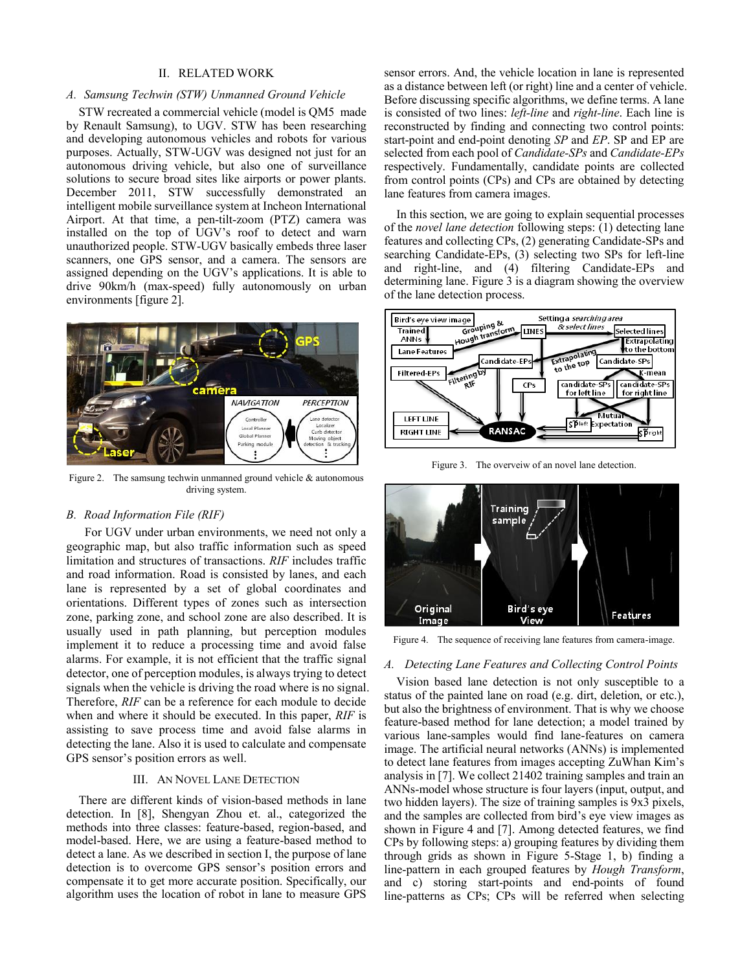#### **II. RELATED WORK**

# A. Samsung Techwin (STW) Unmanned Ground Vehicle

STW recreated a commercial vehicle (model is QM5 made by Renault Samsung), to UGV. STW has been researching and developing autonomous vehicles and robots for various purposes. Actually, STW-UGV was designed not just for an autonomous driving vehicle, but also one of surveillance solutions to secure broad sites like airports or power plants. December 2011, STW successfully demonstrated an intelligent mobile surveillance system at Incheon International Airport. At that time, a pen-tilt-zoom (PTZ) camera was installed on the top of UGV's roof to detect and warn unauthorized people. STW-UGV basically embeds three laser scanners, one GPS sensor, and a camera. The sensors are assigned depending on the UGV's applications. It is able to drive 90km/h (max-speed) fully autonomously on urban environments [figure 2].



Figure 2. The samsung techwin unmanned ground vehicle  $\&$  autonomous driving system.

# B. Road Information File (RIF)

For UGV under urban environments, we need not only a geographic map, but also traffic information such as speed limitation and structures of transactions. RIF includes traffic and road information. Road is consisted by lanes, and each lane is represented by a set of global coordinates and orientations. Different types of zones such as intersection zone, parking zone, and school zone are also described. It is usually used in path planning, but perception modules implement it to reduce a processing time and avoid false alarms. For example, it is not efficient that the traffic signal detector, one of perception modules, is always trying to detect signals when the vehicle is driving the road where is no signal. Therefore, RIF can be a reference for each module to decide when and where it should be executed. In this paper, RIF is assisting to save process time and avoid false alarms in detecting the lane. Also it is used to calculate and compensate GPS sensor's position errors as well.

#### **III. AN NOVEL LANE DETECTION**

There are different kinds of vision-based methods in lane detection. In [8], Shengyan Zhou et. al., categorized the methods into three classes: feature-based, region-based, and model-based. Here, we are using a feature-based method to detect a lane. As we described in section I, the purpose of lane detection is to overcome GPS sensor's position errors and compensate it to get more accurate position. Specifically, our algorithm uses the location of robot in lane to measure GPS sensor errors. And, the vehicle location in lane is represented as a distance between left (or right) line and a center of vehicle. Before discussing specific algorithms, we define terms. A lane is consisted of two lines: *left-line* and *right-line*. Each line is reconstructed by finding and connecting two control points: start-point and end-point denoting SP and EP. SP and EP are selected from each pool of Candidate-SPs and Candidate-EPs respectively. Fundamentally, candidate points are collected from control points (CPs) and CPs are obtained by detecting lane features from camera images.

In this section, we are going to explain sequential processes of the novel lane detection following steps: (1) detecting lane features and collecting CPs, (2) generating Candidate-SPs and searching Candidate-EPs, (3) selecting two SPs for left-line and right-line, and (4) filtering Candidate-EPs and determining lane. Figure 3 is a diagram showing the overview of the lane detection process.



Figure 3. The overveiw of an novel lane detection.



Figure 4. The sequence of receiving lane features from camera-image.

# A. Detecting Lane Features and Collecting Control Points

Vision based lane detection is not only susceptible to a status of the painted lane on road (e.g. dirt, deletion, or etc.), but also the brightness of environment. That is why we choose feature-based method for lane detection; a model trained by various lane-samples would find lane-features on camera image. The artificial neural networks (ANNs) is implemented to detect lane features from images accepting ZuWhan Kim's analysis in [7]. We collect 21402 training samples and train an ANNs-model whose structure is four layers (input, output, and two hidden layers). The size of training samples is 9x3 pixels, and the samples are collected from bird's eye view images as shown in Figure 4 and [7]. Among detected features, we find CPs by following steps: a) grouping features by dividing them through grids as shown in Figure 5-Stage 1, b) finding a line-pattern in each grouped features by Hough Transform, and c) storing start-points and end-points of found line-patterns as CPs; CPs will be referred when selecting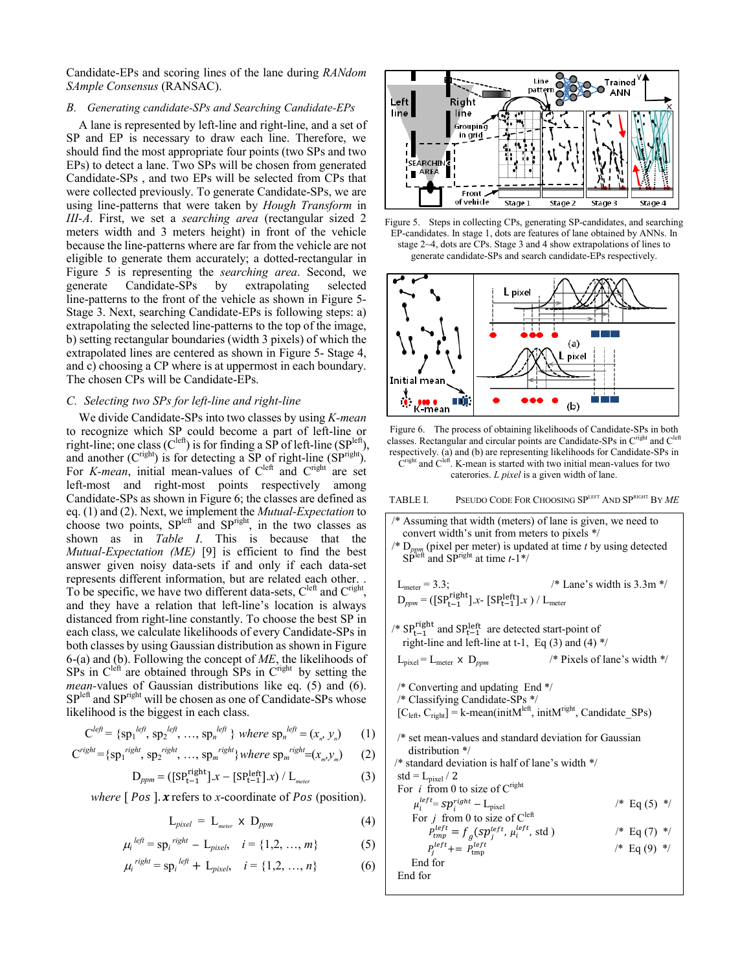Candidate-EPs and scoring lines of the lane during RANdom SAmple Consensus (RANSAC).

# B. Generating candidate-SPs and Searching Candidate-EPs

A lane is represented by left-line and right-line, and a set of SP and EP is necessary to draw each line. Therefore, we should find the most appropriate four points (two SPs and two EPs) to detect a lane. Two SPs will be chosen from generated Candidate-SPs, and two EPs will be selected from CPs that were collected previously. To generate Candidate-SPs, we are using line-patterns that were taken by *Hough Transform* in III-A. First, we set a *searching area* (rectangular sized 2) meters width and 3 meters height) in front of the vehicle because the line-patterns where are far from the vehicle are not eligible to generate them accurately; a dotted-rectangular in Figure 5 is representing the *searching area*. Second, we Candidate-SPs by extrapolating generate selected line-patterns to the front of the vehicle as shown in Figure 5-Stage 3. Next, searching Candidate-EPs is following steps: a) extrapolating the selected line-patterns to the top of the image, b) setting rectangular boundaries (width 3 pixels) of which the extrapolated lines are centered as shown in Figure 5- Stage 4. and c) choosing a CP where is at uppermost in each boundary. The chosen CPs will be Candidate-EPs.

#### C. Selecting two SPs for left-line and right-line

We divide Candidate-SPs into two classes by using K-mean to recognize which SP could become a part of left-line or right-line; one class  $(C^{left})$  is for finding a SP of left-line (SP<sup>left</sup>), and another  $(C^{right})$  is for detecting a SP of right-line  $(SP^{right})$ . For *K-mean*, initial mean-values of  $C^{\text{left}}$  and  $C^{\text{right}}$  are set left-most and right-most points respectively among Candidate-SPs as shown in Figure 6; the classes are defined as eq. (1) and (2). Next, we implement the *Mutual-Expectation* to choose two points,  $SP<sup>left</sup>$  and  $SP<sup>right</sup>$ , in the two classes as shown as in *Table I*. This is because that the Mutual-Expectation (ME) [9] is efficient to find the best answer given noisy data-sets if and only if each data-set represents different information, but are related each other. . To be specific, we have two different data-sets, C<sup>lett</sup> and C<sup>right</sup> and they have a relation that left-line's location is always distanced from right-line constantly. To choose the best SP in each class, we calculate likelihoods of every Candidate-SPs in both classes by using Gaussian distribution as shown in Figure  $6-(a)$  and (b). Following the concept of ME, the likelihoods of SPs in  $C^{left}$  are obtained through SPs in  $C^{right}$  by setting the *mean*-values of Gaussian distributions like eq. (5) and (6). SPleft and SP<sup>right</sup> will be chosen as one of Candidate-SPs whose likelihood is the biggest in each class.

$$
C^{left} = \{ \text{sp}_1^{left}, \text{sp}_2^{left}, \dots, \text{sp}_n^{left} \} \text{ where } \text{sp}_n^{left} = (x_n, y_n) \qquad (1)
$$

$$
C^{right} = \{ \mathrm{sp}_1^{right}, \mathrm{sp}_2^{right}, \dots, \mathrm{sp}_m^{right} \} where \mathrm{sp}_m^{right} = (x_m, y_m) \tag{2}
$$

$$
D_{ppm} = (S P_{t-1}^{right}] x - S P_{t-1}^{left}] x) / L_{\text{meter}}
$$
 (3)

where  $[Pos]$ . x refers to x-coordinate of Pos (position).

$$
L_{pixel} = L_{\text{meter}} \times D_{\text{ppm}} \tag{4}
$$

$$
\mu_i^{left} = \text{sp}_i^{right} - \text{L}_{pixel}, \quad i = \{1, 2, ..., m\} \tag{5}
$$

$$
\mu_i^{\text{right}} = \text{sp}_i^{\text{left}} + \text{L}_{\text{pixel}}, \quad i = \{1, 2, ..., n\} \tag{6}
$$



Figure 5. Steps in collecting CPs, generating SP-candidates, and searching EP-candidates. In stage 1, dots are features of lane obtained by ANNs. In stage  $2 \sim 4$ , dots are CPs. Stage 3 and 4 show extrapolations of lines to generate candidate-SPs and search candidate-EPs respectively.



Figure 6. The process of obtaining likelihoods of Candidate-SPs in both classes. Rectangular and circular points are Candidate-SPs in Cright and C<sup>1</sup> respectively. (a) and (b) are representing likelihoods for Candidate-SPs in C<sup>right</sup> and C<sup>leff</sup>. K-mean is started with two initial mean-values for two caterories. *L* pixel is a given width of lane.

TABLE I. PSEUDO CODE FOR CHOOSING SPLEET AND SPRIGHT BY ME

/\* Assuming that width (meters) of lane is given, we need to convert width's unit from meters to pixels \*/ <sup>/\*</sup>  $D_{ppm}$  (pixel per meter) is updated at time *t* by using detected  $SP<sup>left</sup>$  and  $SP<sup>right</sup>$  at time *t*-1\*/ L<sub>meter</sub> = 3.3; /\* I<br>  $D_{ppm} = (\text{[SP}^{right}_{t-1}]\, x \text{- [SP}^{left}_{t-1}]\, x) / L_{\text{meter}}$ /\* Lane's width is  $3.3m$  \*/ /\*  $SP_{t-1}^{right}$  and  $SP_{t-1}^{left}$  are detected start-point of right-line and left-line at t-1, Eq  $(3)$  and  $(4)$  \*/  $L_{pixel} = L_{meter} \times D_{ppm}$ /\* Pixels of lane's width \*/ /\* Converting and updating End  $*$ / /\* Classifying Candidate-SPs \*/  $[C<sub>left</sub>, C<sub>right</sub>] = k-mean(intM<sup>left</sup>, initM<sup>right</sup>, Cantidate_SPs)$ /\* set mean-values and standard deviation for Gaussian distribution \*/ /\* standard deviation is half of lane's width \*/ std =  $L_{pixel}$  / 2 For  $i$  from 0 to size of  $C^{right}$  $\mu_i^{left} = sp_i^{right} - L_{pixel}$  $/* Eq(5) */$ For  $j$  from 0 to size of  $C^{\text{left}}$  $P_{temp}^{left} = f_g(Sp_j^{left}, \mu_i^{left}, \text{std})$ <br>  $P_j^{left} = P_{tmp}^{left}$  $/*$  Eq (7)  $*/$  $/* Eq(9)$  \*/ End for End for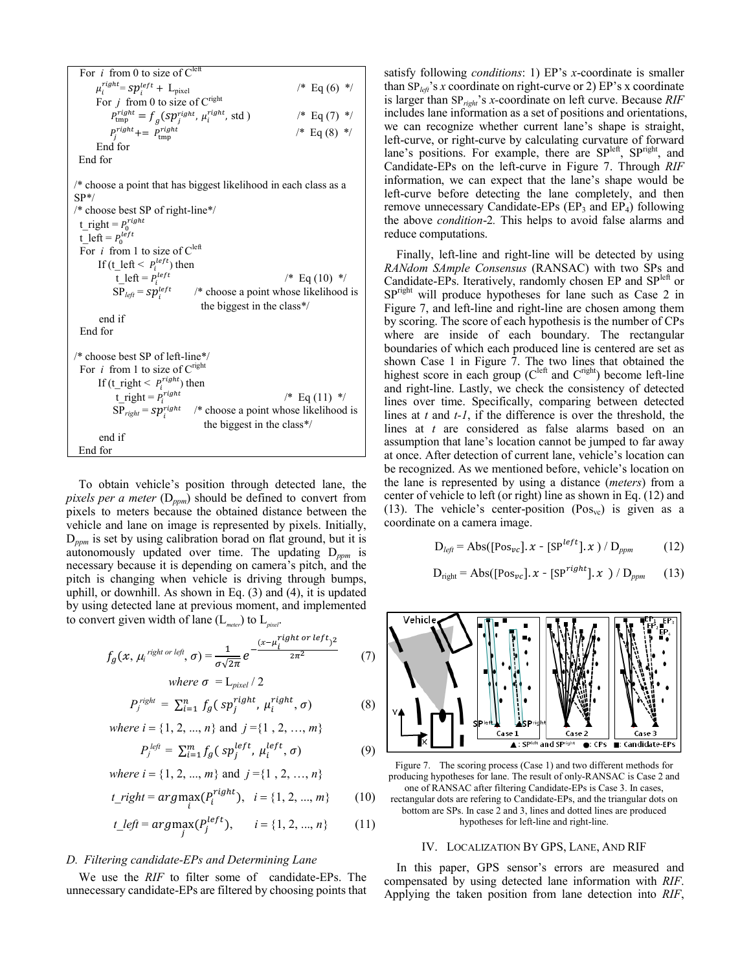For *i* from 0 to size of  $C^{left}$  $\mu_i^{right} = sp_i^{left} + L_{pixel}$ /\* Eq (6) \*/ For  $j$  from 0 to size of  $C^{right}$  $P_{\text{tmp}}^{right} = f_g(sp_i^{right}, \mu_i^{right}, \text{std})$  $/* Eq(7)$  \*/  $P_i^{right} += \frac{\partial right}{P_{\text{tmp}}}$  $/* Eq(8) */$ End for End for /\* choose a point that has biggest likelihood in each class as a  $SP^*/$ /\* choose best SP of right-line\*/ t\_right =  $P_n^{right}$  $\overline{t}$  left =  $P_0^{left}$ For i from 1 to size of  $C^{left}$ If (t left <  $P_i^{left}$ ) then t\_left =  $\dot{P}_i^{left}$  $/* Eq(10) */$  $SP_{left} = SP_i^{left}$ /\* choose a point whose likelihood is the biggest in the class\*/ end if End for /\* choose best SP of left-line\*/ For i from 1 to size of  $C^{right}$ If (t\_right <  $P_i^{right}$ ) then t\_right =  $\sum_{i}^{right}$  $*$  Eq (11)  $*$ /  $\text{SP}_{\text{right}} = sp_{i}^{\text{right}}$ /\* choose a point whose likelihood is the biggest in the class\*/ end if End for

To obtain vehicle's position through detected lane, the *pixels per a meter* ( $D_{ppm}$ ) should be defined to convert from pixels to meters because the obtained distance between the vehicle and lane on image is represented by pixels. Initially,  $D_{ppm}$  is set by using calibration borad on flat ground, but it is autonomously updated over time. The updating  $D_{ppm}$  is necessary because it is depending on camera's pitch, and the pitch is changing when vehicle is driving through bumps, uphill, or downhill. As shown in Eq.  $(3)$  and  $(4)$ , it is updated by using detected lane at previous moment, and implemented to convert given width of lane  $(L_{\text{meter}})$  to  $L_{\text{pixel}}$ 

$$
f_g(x, \mu_i^{right \, or \, left}, \sigma) = \frac{1}{\sigma \sqrt{2\pi}} e^{-\frac{(x - \mu_i^{right \, or \, left})^2}{2\pi^2}}
$$
\n
$$
where \sigma = L_{\text{mixed}} / 2
$$
\n(7)

$$
P_j^{right} = \sum_{i=1}^n f_g(\textit{sp}_j^{right}, \mu_i^{right}, \sigma)
$$

where 
$$
i = \{1, 2, ..., n\}
$$
 and  $j = \{1, 2, ..., m\}$ 

$$
P_j^{left} = \sum_{i=1}^m f_g(sp_j^{left}, \mu_i^{left}, \sigma)
$$
 (9)

where  $i = \{1, 2, ..., m\}$  and  $j = \{1, 2, ..., n\}$ 

$$
t\_right = arg \max_{i} (P_i^{right}), \quad i = \{1, 2, ..., m\} \tag{10}
$$

$$
t_{\_}left = arg \max_{j} (P_j^{left}), \qquad i = \{1, 2, ..., n\} \tag{11}
$$

### D. Filtering candidate-EPs and Determining Lane

We use the RIF to filter some of candidate-EPs. The unnecessary candidate-EPs are filtered by choosing points that

satisfy following *conditions*: 1) EP's *x*-coordinate is smaller than SP<sub>left</sub>'s x coordinate on right-curve or 2) EP's x coordinate is larger than  $SP_{right}$ 's x-coordinate on left curve. Because RIF includes lane information as a set of positions and orientations, we can recognize whether current lane's shape is straight, left-curve, or right-curve by calculating curvature of forward lane's positions. For example, there are SPleft, SP<sup>right</sup>, and Candidate-EPs on the left-curve in Figure 7. Through RIF information, we can expect that the lane's shape would be left-curve before detecting the lane completely, and then remove unnecessary Candidate-EPs  $(EP_3 \text{ and } EP_4)$  following the above *condition-2*. This helps to avoid false alarms and reduce computations.

Finally, left-line and right-line will be detected by using RANdom SAmple Consensus (RANSAC) with two SPs and Candidate-EPs. Iteratively, randomly chosen EP and SP<sup>lett</sup> or  $SP<sup>right</sup>$  will produce hypotheses for lane such as Case 2 in Figure 7, and left-line and right-line are chosen among them by scoring. The score of each hypothesis is the number of CPs where are inside of each boundary. The rectangular boundaries of which each produced line is centered are set as shown Case 1 in Figure 7. The two lines that obtained the highest score in each group (C<sup>left</sup> and C<sup>right</sup>) become left-line and right-line. Lastly, we check the consistency of detected lines over time. Specifically, comparing between detected lines at  $t$  and  $t$ - $l$ , if the difference is over the threshold, the lines at t are considered as false alarms based on an assumption that lane's location cannot be jumped to far away at once. After detection of current lane, vehicle's location can be recognized. As we mentioned before, vehicle's location on the lane is represented by using a distance *(meters)* from a center of vehicle to left (or right) line as shown in Eq. (12) and (13). The vehicle's center-position  $(Pos<sub>yc</sub>)$  is given as a coordinate on a camera image.

$$
D_{\text{left}} = \text{Abs}([\text{Pos}_{\text{vc}}], x - [\text{SP}^{\text{left}}], x) / D_{\text{ppm}} \tag{12}
$$

$$
D_{\text{right}} = \text{Abs}([\text{Pos}_{vc}], x - [\text{SP}^{right}].x) / D_{ppm} \qquad (13)
$$



Figure 7. The scoring process (Case 1) and two different methods for producing hypotheses for lane. The result of only-RANSAC is Case 2 and one of RANSAC after filtering Candidate-EPs is Case 3. In cases, rectangular dots are refering to Candidate-EPs, and the triangular dots on bottom are SPs. In case 2 and 3, lines and dotted lines are produced hypotheses for left-line and right-line

#### IV. LOCALIZATION BY GPS, LANE, AND RIF

In this paper, GPS sensor's errors are measured and compensated by using detected lane information with RIF. Applying the taken position from lane detection into RIF,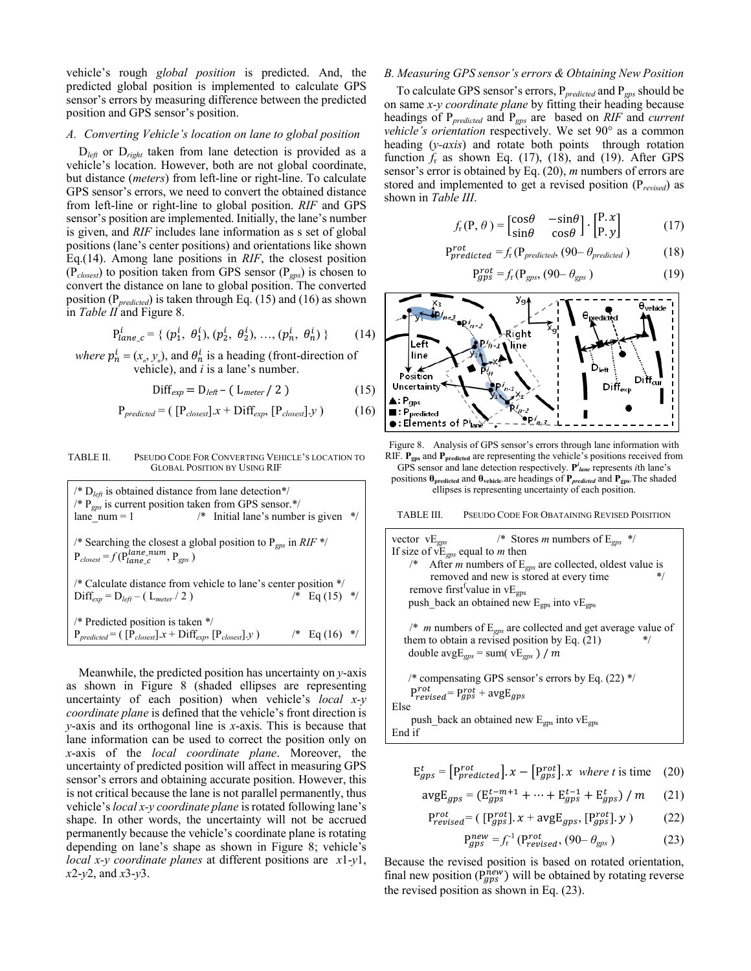vehicle's rough global position is predicted. And, the predicted global position is implemented to calculate GPS sensor's errors by measuring difference between the predicted position and GPS sensor's position.

# A. Converting Vehicle's location on lane to global position

 $D_{left}$  or  $D_{right}$  taken from lane detection is provided as a vehicle's location. However, both are not global coordinate, but distance (*meters*) from left-line or right-line. To calculate GPS sensor's errors, we need to convert the obtained distance from left-line or right-line to global position. RIF and GPS sensor's position are implemented. Initially, the lane's number is given, and RIF includes lane information as s set of global positions (lane's center positions) and orientations like shown Eq.  $(14)$ . Among lane positions in *RIF*, the closest position  $(P_{closest})$  to position taken from GPS sensor  $(P_{gas})$  is chosen to convert the distance on lane to global position. The converted position ( $P_{predicted}$ ) is taken through Eq. (15) and (16) as shown in *Table II* and Figure 8.

$$
P_{lane\_c}^i = \{ (p_1^i, \theta_1^i), (p_2^i, \theta_2^i), ..., (p_n^i, \theta_n^i) \}
$$
 (14)

where  $p_n^i = (x_n, y_n)$ , and  $\theta_n^i$  is a heading (front-direction of vehicle), and  $i$  is a lane's number.

$$
\text{Diff}_{\text{exp}} = D_{\text{left}} - (L_{\text{meter}} / 2) \tag{15}
$$

$$
P_{predicted} = (\left[ P_{closest} \right], x + Diff_{exp}, \left[ P_{closest} \right], y) \tag{16}
$$

PSEUDO CODE FOR CONVERTING VEHICLE'S LOCATION TO TABLE II. **GLOBAL POSITION BY USING RIF** 

| $/$ * D <sub>left</sub> is obtained distance from lane detection*/<br>/* $P_{\text{gps}}$ is current position taken from GPS sensor.*/ |                                            |
|----------------------------------------------------------------------------------------------------------------------------------------|--------------------------------------------|
| lane $num = 1$                                                                                                                         | $/*$ Initial lane's number is given<br>$*$ |
| /* Searching the closest a global position to $P_{\text{gas}}$ in RIF */<br>$P_{closest} = f(P_{lane}^{lane\_num}, P_{gos})$           |                                            |
| /* Calculate distance from vehicle to lane's center position */                                                                        |                                            |
| $Diff_{exp} = D_{left} - (L_{meter} / 2)$                                                                                              | /* Eq (15) */                              |
| /* Predicted position is taken $*/$<br>$P_{predicted} = (\left[ P_{closest} \right] x + Diff_{exp}, \left[ P_{closest} \right] y)$     | $\frac{*}{ }$ Eq (16) $\frac{*}{ }$        |

Meanwhile, the predicted position has uncertainty on  $\nu$ -axis as shown in Figure 8 (shaded ellipses are representing uncertainty of each position) when vehicle's local x-y *coordinate plane* is defined that the vehicle's front direction is  $y$ -axis and its orthogonal line is  $x$ -axis. This is because that lane information can be used to correct the position only on x-axis of the *local coordinate plane*. Moreover, the uncertainty of predicted position will affect in measuring GPS sensor's errors and obtaining accurate position. However, this is not critical because the lane is not parallel permanently, thus vehicle's *local x-y coordinate plane* is rotated following lane's shape. In other words, the uncertainty will not be accrued permanently because the vehicle's coordinate plane is rotating depending on lane's shape as shown in Figure 8; vehicle's *local* x-y *coordinate planes* at different positions are  $x1-y1$ ,  $x2-y2$ , and  $x3-y3$ .

#### B. Measuring GPS sensor's errors & Obtaining New Position

To calculate GPS sensor's errors,  $P_{predicted}$  and  $P_{gas}$  should be on same x-y coordinate plane by fitting their heading because headings of  $P_{predicted}$  and  $P_{gps}$  are based on RIF and current vehicle's orientation respectively. We set 90° as a common heading  $(y-axis)$  and rotate both points through rotation function  $f_r$  as shown Eq. (17), (18), and (19). After GPS sensor's error is obtained by Eq.  $(20)$ , *m* numbers of errors are stored and implemented to get a revised position  $(P_{revised})$  as shown in Table III.

$$
f_{\rm r}(P,\theta) = \begin{bmatrix} \cos\theta & -\sin\theta \\ \sin\theta & \cos\theta \end{bmatrix} \cdot \begin{bmatrix} P.x \\ P.y \end{bmatrix}
$$
 (17)

$$
P_{predicted}^{rot} = f_{r}(P_{predicted}, (90 - \theta_{predicted}) \qquad (18)
$$

$$
P_{gps}^{rot} = f_{r}(P_{gps}, (90 - \theta_{gps})
$$
 (19)



 $\overline{\phantom{a}}$ 

Figure 8. Analysis of GPS sensor's errors through lane information with RIF.  $P_{\text{gps}}$  and  $P_{\text{predicted}}$  are representing the vehicle's positions received from GPS sensor and lane detection respectively.  $P_{\text{lane}}^i$  represents *i*th lane's positions  $\theta_{predicted}$  and  $\theta_{ vehicle}$  are headings of  $P_{predicted}$  and  $P_{eps}$ . The shaded

ellipses is representing uncertainty of each position.

**TABLE III.** PSEUDO CODE FOR OBATAINING REVISED POISITION

| /* Stores <i>m</i> numbers of $E_{\text{rms}}$ */<br>vector $vE_{\text{rms}}$          |
|----------------------------------------------------------------------------------------|
| If size of $vE_{\text{gps}}$ equal to <i>m</i> then                                    |
| <sup>*</sup> After <i>m</i> numbers of $E_{\text{gps}}$ are collected, oldest value is |
| removed and new is stored at every time<br>*/                                          |
| remove first value in $vE_{\text{gas}}$                                                |
| push_back an obtained new $E_{\text{gps}}$ into $vE_{\text{gps}}$                      |
|                                                                                        |
|                                                                                        |
| /* <i>m</i> numbers of $E_{\text{gps}}$ are collected and get average value of         |
| them to obtain a revised position by Eq. $(21)$<br>*/                                  |
| double $avgE_{ens}$ = sum( $vE_{ens}$ ) / m                                            |
|                                                                                        |
| /* compensating GPS sensor's errors by Eq. $(22)$ */                                   |
|                                                                                        |
| $P_{revised}^{rot} = P_{gps}^{rot} + avgE_{gps}$                                       |
| Else                                                                                   |
| push_back an obtained new $E_{\rm gps}$ into v $E_{\rm gps}$                           |
|                                                                                        |

End if

a

 $\overline{\phantom{a}}$ 

$$
E_{gps}^t = [P_{predicted}^{rot}] \cdot x - [P_{gps}^{rot}] \cdot x \text{ where } t \text{ is time} \quad (20)
$$

$$
vgE_{gps} = (E_{gps}^{t-m+1} + \dots + E_{gps}^{t-1} + E_{gps}^{t}) / m
$$
 (21)

$$
P_{revised}^{rot} = (\n\left[P_{gps}^{rot}\right] \cdot x + \text{avgE}_{gps}, \n\left[P_{gps}^{rot}\right] \cdot y \tag{22}
$$

$$
P_{gps}^{new} = f_r^{-1} (P_{revised}^{rot}, (90 - \theta_{gps})
$$
 (23)

Because the revised position is based on rotated orientation, final new position  $(P_{gps}^{new})$  will be obtained by rotating reverse the revised position as shown in Eq.  $(23)$ .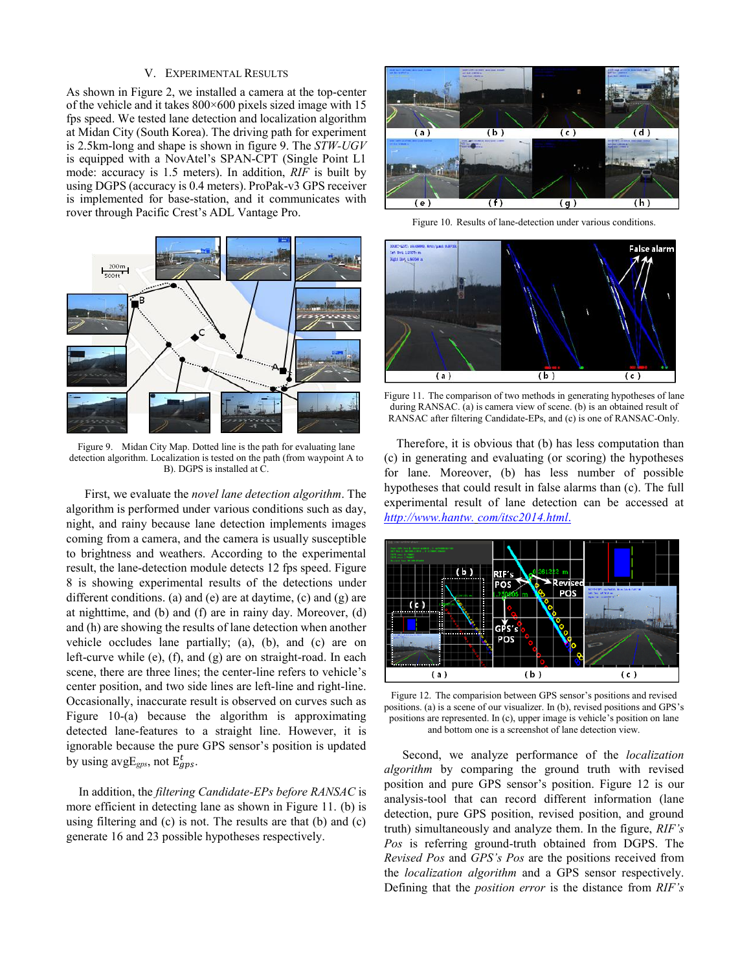#### V. EXPERIMENTAL RESULTS

As shown in Figure 2, we installed a camera at the top-center of the vehicle and it takes  $800\times600$  pixels sized image with 15 fps speed. We tested lane detection and localization algorithm at Midan City (South Korea). The driving path for experiment is 2.5km-long and shape is shown in figure 9. The STW-UGV is equipped with a NovAtel's SPAN-CPT (Single Point L1 mode: accuracy is 1.5 meters). In addition, RIF is built by using DGPS (accuracy is 0.4 meters). ProPak-v3 GPS receiver is implemented for base-station, and it communicates with rover through Pacific Crest's ADL Vantage Pro.



Figure 9. Midan City Map. Dotted line is the path for evaluating lane detection algorithm. Localization is tested on the path (from waypoint A to B). DGPS is installed at C.

First, we evaluate the *novel lane detection algorithm*. The algorithm is performed under various conditions such as day, night, and rainy because lane detection implements images coming from a camera, and the camera is usually susceptible to brightness and weathers. According to the experimental result, the lane-detection module detects 12 fps speed. Figure 8 is showing experimental results of the detections under different conditions. (a) and (e) are at daytime, (c) and (g) are at nighttime, and (b) and (f) are in rainy day. Moreover, (d) and (h) are showing the results of lane detection when another vehicle occludes lane partially; (a), (b), and (c) are on left-curve while (e), (f), and (g) are on straight-road. In each scene, there are three lines; the center-line refers to vehicle's center position, and two side lines are left-line and right-line. Occasionally, inaccurate result is observed on curves such as Figure  $10-(a)$  because the algorithm is approximating detected lane-features to a straight line. However, it is ignorable because the pure GPS sensor's position is updated by using  $avgE_{gps}$ , not  $E_{gps}^{t}$ .

In addition, the *filtering Candidate-EPs before RANSAC* is more efficient in detecting lane as shown in Figure 11. (b) is using filtering and (c) is not. The results are that (b) and (c) generate 16 and 23 possible hypotheses respectively.



Figure 10. Results of lane-detection under various conditions.



Figure 11. The comparison of two methods in generating hypotheses of lane during RANSAC. (a) is camera view of scene. (b) is an obtained result of RANSAC after filtering Candidate-EPs, and (c) is one of RANSAC-Only.

Therefore, it is obvious that (b) has less computation than (c) in generating and evaluating (or scoring) the hypotheses for lane. Moreover, (b) has less number of possible hypotheses that could result in false alarms than (c). The full experimental result of lane detection can be accessed at http://www.hantw.com/itsc2014.html.



Figure 12. The comparision between GPS sensor's positions and revised positions. (a) is a scene of our visualizer. In (b), revised positions and GPS's positions are represented. In (c), upper image is vehicle's position on lane and bottom one is a screenshot of lane detection view.

Second, we analyze performance of the localization algorithm by comparing the ground truth with revised position and pure GPS sensor's position. Figure 12 is our analysis-tool that can record different information (lane detection, pure GPS position, revised position, and ground truth) simultaneously and analyze them. In the figure, RIF's Pos is referring ground-truth obtained from DGPS. The *Revised Pos* and *GPS's Pos* are the positions received from the *localization algorithm* and a GPS sensor respectively. Defining that the *position error* is the distance from RIF's